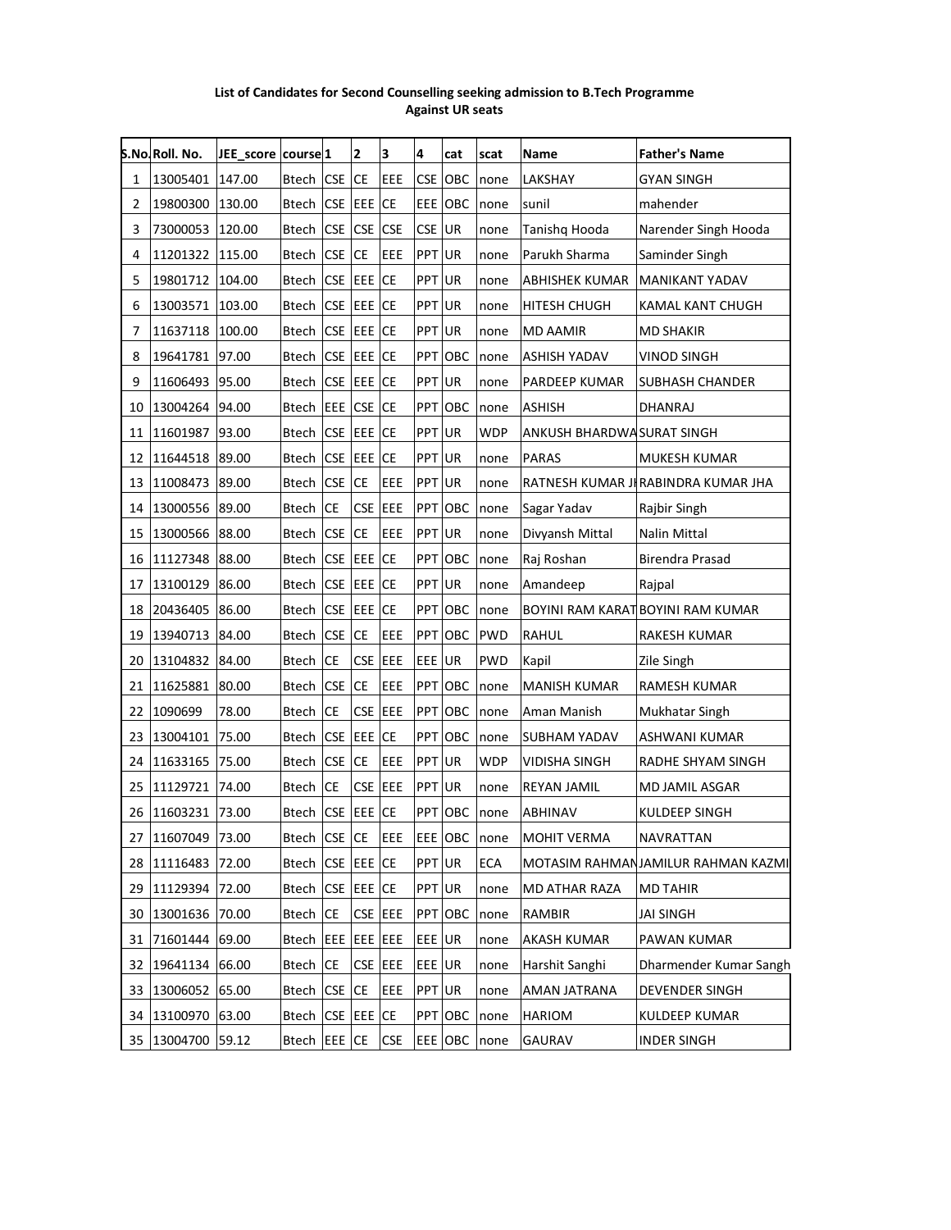#### List of Candidates for Second Counselling seeking admission to B.Tech Programme Against UR seats

|    | S.No.Roll. No.  | JEE_score course 1 |                         |            | $\overline{\mathbf{2}}$ | 3           | 4             | cat            | scat       | Name                      | <b>Father's Name</b>               |
|----|-----------------|--------------------|-------------------------|------------|-------------------------|-------------|---------------|----------------|------------|---------------------------|------------------------------------|
| 1  | 13005401        | 147.00             | Btech CSE               |            | <b>CE</b>               | EEE         | <b>CSE</b>    | <b>OBC</b>     | none       | LAKSHAY                   | <b>GYAN SINGH</b>                  |
| 2  | 19800300 130.00 |                    | Btech                   | CSE EEE CE |                         |             |               | <b>EEE</b> OBC | none       | sunil                     | mahender                           |
| 3  | 73000053        | 120.00             | Btech                   | <b>CSE</b> | CSE CSE                 |             | CSE UR        |                | none       | Tanishq Hooda             | Narender Singh Hooda               |
| 4  | 11201322 115.00 |                    | Btech                   | CSE CE     |                         | EEE         | <b>PPT UR</b> |                | none       | Parukh Sharma             | Saminder Singh                     |
| 5  | 19801712        | 104.00             | <b>Btech</b>            | <b>CSE</b> | EEE CE                  |             | PPT UR        |                | none       | <b>ABHISHEK KUMAR</b>     | <b>MANIKANT YADAV</b>              |
| 6  | 13003571        | 103.00             | Btech                   | <b>CSE</b> | <b>EEE</b> CE           |             | <b>PPT UR</b> |                | none       | <b>HITESH CHUGH</b>       | KAMAL KANT CHUGH                   |
| 7  | 11637118 100.00 |                    | <b>Btech</b>            | <b>CSE</b> | EEE CE                  |             | PPT UR        |                | none       | <b>MD AAMIR</b>           | <b>MD SHAKIR</b>                   |
| 8  | 19641781        | 97.00              | Btech                   | <b>CSE</b> | EEE CE                  |             |               | PPT OBC        | none       | <b>ASHISH YADAV</b>       | <b>VINOD SINGH</b>                 |
| 9  | 11606493        | 95.00              | Btech                   | <b>CSE</b> | <b>EEE</b> CE           |             | PPT UR        |                | none       | PARDEEP KUMAR             | <b>SUBHASH CHANDER</b>             |
| 10 | 13004264 94.00  |                    | Btech EEE               |            | CSE CE                  |             |               | PPT OBC        | none       | <b>ASHISH</b>             | DHANRAJ                            |
| 11 | 11601987        | 93.00              | <b>Btech</b>            |            | CSE EEE CE              |             | PPT UR        |                | <b>WDP</b> | ANKUSH BHARDWASURAT SINGH |                                    |
| 12 | 11644518        | 89.00              | <b>Btech</b>            | <b>CSE</b> | EEE CE                  |             | PPT UR        |                | none       | <b>PARAS</b>              | MUKESH KUMAR                       |
| 13 | 11008473        | 89.00              | <b>Btech</b>            | <b>CSE</b> | <b>CE</b>               | EEE         | PPT UR        |                | none       |                           | RATNESH KUMAR JIRABINDRA KUMAR JHA |
| 14 | 13000556        | 89.00              | <b>Btech</b>            | <b>CE</b>  | <b>CSE</b>              | EEE         |               | PPT OBC        | none       | Sagar Yadav               | Rajbir Singh                       |
| 15 | 13000566        | 88.00              | Btech                   | <b>CSE</b> | <b>CE</b>               | EEE         | PPT UR        |                | none       | Divyansh Mittal           | Nalin Mittal                       |
| 16 | 11127348 88.00  |                    | Btech                   | <b>CSE</b> | EEE CE                  |             |               | PPT OBC        | none       | Raj Roshan                | Birendra Prasad                    |
| 17 | 13100129        | 86.00              | Btech                   | <b>CSE</b> | EEE CE                  |             | PPT UR        |                | none       | Amandeep                  | Rajpal                             |
| 18 | 20436405        | 86.00              | <b>Btech</b>            | CSE EEE CE |                         |             |               | PPT OBC        | none       |                           | BOYINI RAM KARAT BOYINI RAM KUMAR  |
| 19 | 13940713        | 84.00              | <b>Btech</b>            | <b>CSE</b> | <b>CE</b>               | EEE         |               | <b>PPT OBC</b> | <b>PWD</b> | <b>RAHUL</b>              | RAKESH KUMAR                       |
| 20 | 13104832        | 84.00              | <b>Btech</b>            | <b>CE</b>  | CSE EEE                 |             | EEE UR        |                | <b>PWD</b> | Kapil                     | Zile Singh                         |
| 21 | 11625881        | 80.00              | <b>Btech</b>            | <b>CSE</b> | <b>CE</b>               | EEE         |               | PPT OBC        | none       | <b>MANISH KUMAR</b>       | RAMESH KUMAR                       |
| 22 | 1090699         | 78.00              | Btech                   | <b>CE</b>  | CSE EEE                 |             |               | <b>PPT OBC</b> | none       | Aman Manish               | Mukhatar Singh                     |
| 23 | 13004101        | 75.00              | Btech                   | <b>CSE</b> | EEE                     | <b>ICE</b>  |               | PPT OBC        | none       | <b>SUBHAM YADAV</b>       | ASHWANI KUMAR                      |
| 24 | 11633165        | 75.00              | Btech                   | <b>CSE</b> | <b>CE</b>               | EEE         | <b>PPT UR</b> |                | <b>WDP</b> | VIDISHA SINGH             | RADHE SHYAM SINGH                  |
| 25 | 11129721        | 74.00              | <b>Btech</b>            | CE         | <b>CSE</b>              | EEE         | PPT UR        |                | none       | REYAN JAMIL               | MD JAMIL ASGAR                     |
| 26 | 11603231 73.00  |                    | Btech CSE EEE CE        |            |                         |             |               | PPT OBC        | none       | <b>ABHINAV</b>            | KULDEEP SINGH                      |
| 27 | 11607049        | 73.00              | Btech CSE CE            |            |                         | <b>IEEE</b> |               | EEE OBC        | none       | <b>MOHIT VERMA</b>        | NAVRATTAN                          |
| 28 | 11116483        | 72.00              | Btech                   | <b>CSE</b> | EEE CE                  |             | PPT UR        |                | <b>ECA</b> |                           | MOTASIM RAHMANJAMILUR RAHMAN KAZMI |
|    | 29 11129394     | 72.00              | <b>Btech</b>            |            | CSE EEE CE              |             | PPT UR        |                | none       | MD ATHAR RAZA             | <b>MD TAHIR</b>                    |
| 30 | 13001636        | 70.00              | Btech                   | <b>CE</b>  | CSE EEE                 |             |               | <b>PPT OBC</b> | none       | <b>RAMBIR</b>             | <b>JAI SINGH</b>                   |
| 31 | 71601444        | 69.00              | Btech   EEE   EEE   EEE |            |                         |             | EEE UR        |                | none       | AKASH KUMAR               | PAWAN KUMAR                        |
| 32 | 19641134        | 66.00              | Btech                   | <b>CE</b>  | CSE EEE                 |             | EEE UR        |                | none       | Harshit Sanghi            | Dharmender Kumar Sangh             |
|    | 33 13006052     | 65.00              | Btech CSE               |            | <b>CE</b>               | <b>EEE</b>  | <b>PPT UR</b> |                | none       | <b>AMAN JATRANA</b>       | <b>DEVENDER SINGH</b>              |
|    | 34 13100970     | 63.00              | Btech CSE               |            | <b>EEE</b> CE           |             |               | PPT OBC        | none       | <b>HARIOM</b>             | <b>KULDEEP KUMAR</b>               |
|    | 35 13004700     | 59.12              | Btech EEE CE            |            |                         | <b>CSE</b>  |               | EEE OBC        | none       | <b>GAURAV</b>             | <b>INDER SINGH</b>                 |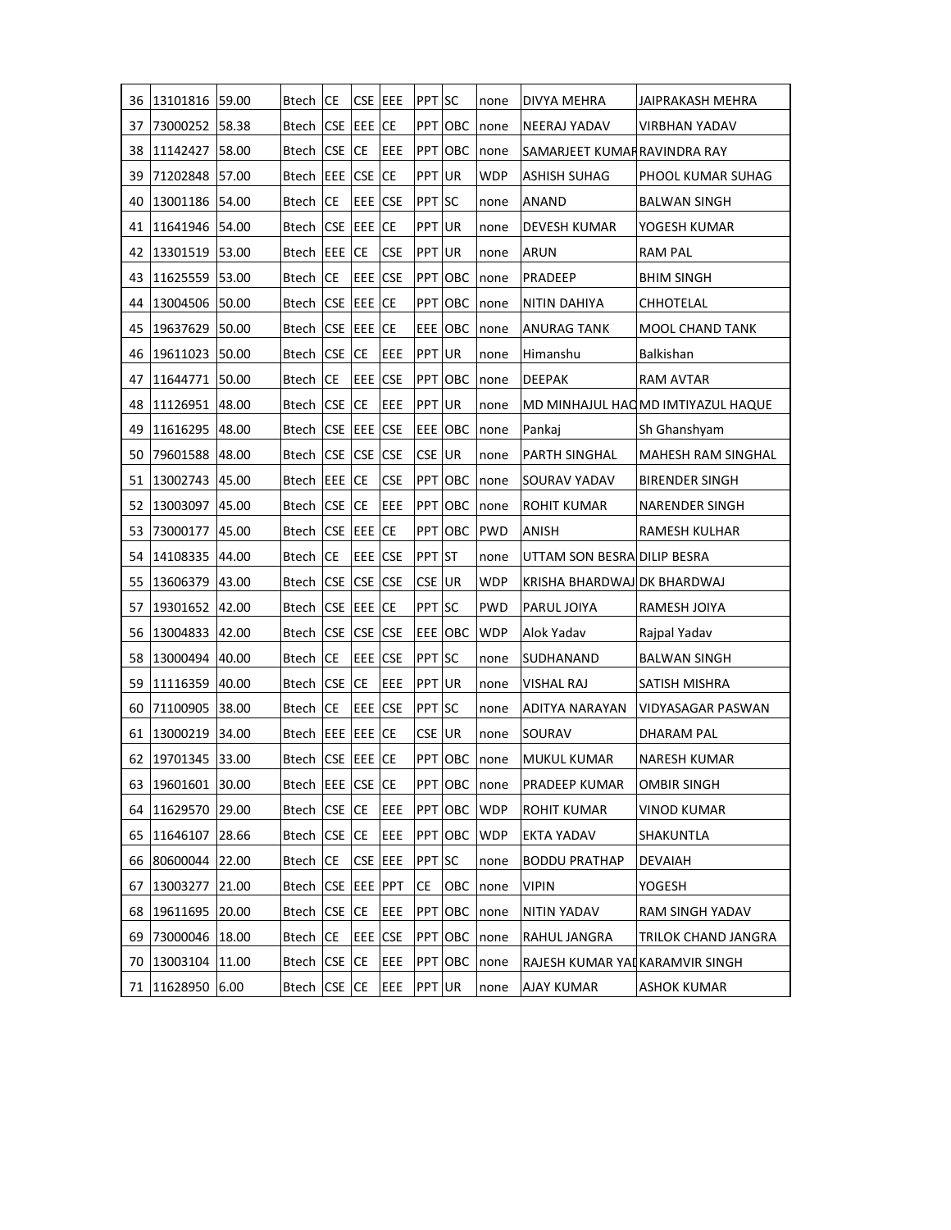| 36 | 13101816              | 59.00 | Btech            | СE         | CSE JEEE       |            | PPT SC        |         | none       | DIVYA MEHRA                    | JAIPRAKASH MEHRA                  |
|----|-----------------------|-------|------------------|------------|----------------|------------|---------------|---------|------------|--------------------------------|-----------------------------------|
| 37 | 73000252 58.38        |       | Btech            |            | CSE EEE CE     |            |               | PPT OBC | none       | NEERAJ YADAV                   | VIRBHAN YADAV                     |
| 38 | 11142427              | 58.00 | Btech            | <b>CSE</b> | <b>ICE</b>     | EEE        |               | PPT OBC | none       | SAMARJEET KUMARRAVINDRA RAY    |                                   |
| 39 | 71202848              | 57.00 | Btech <b>EEE</b> |            | <b>CSE</b> CE  |            | PPT JUR       |         | WDP        | ASHISH SUHAG                   | PHOOL KUMAR SUHAG                 |
| 40 | 13001186              | 54.00 | Btech            | <b>CE</b>  | <b>EEE</b> CSE |            | PPT SC        |         | none       | ANAND                          | <b>BALWAN SINGH</b>               |
| 41 | 11641946 54.00        |       | Btech            | <b>CSE</b> | EEE CE         |            | <b>PPT UR</b> |         | none       | DEVESH KUMAR                   | YOGESH KUMAR                      |
| 42 | 13301519              | 53.00 | Btech            | EEE        | <b>ICE</b>     | <b>CSE</b> | PPT           | UR      | none       | ARUN                           | <b>RAM PAL</b>                    |
| 43 | 11625559              | 53.00 | Btech            | <b>CE</b>  | EEE CSE        |            |               | PPT OBC | none       | PRADEEP                        | <b>BHIM SINGH</b>                 |
| 44 | 13004506              | 50.00 | Btech            | <b>CSE</b> | EEE CE         |            | PPT           | OBC     | none       | NITIN DAHIYA                   | CHHOTELAL                         |
| 45 | 19637629              | 50.00 | Btech            | <b>CSE</b> | EEE CE         |            | EEE           | OBC     | none       | ANURAG TANK                    | MOOL CHAND TANK                   |
| 46 | 19611023 50.00        |       | Btech            | <b>CSE</b> | <b>ICE</b>     | EEE        | <b>PPT</b>    | UR      | none       | Himanshu                       | Balkishan                         |
| 47 | 11644771              | 50.00 | Btech            | СE         | EEE CSE        |            |               | PPT OBC | none       | <b>DEEPAK</b>                  | <b>RAM AVTAR</b>                  |
| 48 | 11126951              | 48.00 | <b>Btech</b>     | <b>CSE</b> | <b>ICE</b>     | EEE        | PPT UR        |         | none       |                                | MD MINHAJUL HAQMD IMTIYAZUL HAQUE |
| 49 | 11616295 48.00        |       | Btech            | <b>CSE</b> | <b>EEE</b> CSE |            |               | EEE OBC | none       | Pankaj                         | Sh Ghanshyam                      |
| 50 | 79601588              | 48.00 | Btech            | <b>CSE</b> | <b>CSE CSE</b> |            | CSE UR        |         | none       | PARTH SINGHAL                  | MAHESH RAM SINGHAL                |
| 51 | 13002743 45.00        |       | Btech            | EEE CE     |                | <b>CSE</b> | <b>PPT</b>    | OBC     | none       | SOURAV YADAV                   | <b>BIRENDER SINGH</b>             |
| 52 | 13003097              | 45.00 | Btech            | <b>CSE</b> | <b>ICE</b>     | EEE        |               | PPT OBC | none       | ROHIT KUMAR                    | <b>NARENDER SINGH</b>             |
| 53 | 73000177              | 45.00 | Btech            |            | CSE EEE ICE    |            |               | PPT OBC | <b>PWD</b> | ANISH                          | RAMESH KULHAR                     |
| 54 | 14108335              | 44.00 | Btech            | <b>CE</b>  | EEE CSE        |            | PPT ST        |         | none       | UTTAM SON BESRA DILIP BESRA    |                                   |
| 55 | 13606379              | 43.00 | Btech            | <b>CSE</b> | CSE CSE        |            | CSE UR        |         | <b>WDP</b> | KRISHA BHARDWAJ DK BHARDWAJ    |                                   |
| 57 | 19301652              | 42.00 | Btech            | <b>CSE</b> | <b>EEE</b> CE  |            | PPT SC        |         | <b>PWD</b> | PARUL JOIYA                    | RAMESH JOIYA                      |
| 56 | 13004833              | 42.00 | Btech            | <b>CSE</b> | CSE CSE        |            | EEE           | OBC     | <b>WDP</b> | Alok Yadav                     | Rajpal Yadav                      |
| 58 | 13000494              | 40.00 | <b>Btech</b>     | CE         | EEE CSE        |            | PPT SC        |         | none       | SUDHANAND                      | <b>BALWAN SINGH</b>               |
| 59 | 11116359              | 40.00 | Btech            | <b>CSE</b> | <b>CE</b>      | EEE        | PPT UR        |         | none       | <b>VISHAL RAJ</b>              | SATISH MISHRA                     |
| 60 | 71100905 38.00        |       | Btech            | СE         | EEE CSE        |            | PPT SC        |         | none       | ADITYA NARAYAN                 | VIDYASAGAR PASWAN                 |
| 61 | 13000219              | 34.00 | Btech            | EEE        | EEE CE         |            | CSE UR        |         | none       | SOURAV                         | DHARAM PAL                        |
| 62 | 19701345              | 33.00 | Btech            |            | CSE EEE CE     |            | <b>PPT</b>    | OBC     | none       | <b>MUKUL KUMAR</b>             | NARESH KUMAR                      |
|    | 63   19601601   30.00 |       | Btech EEE CSE CE |            |                |            |               | PPT OBC | none       | <b>PRADEEP KUMAR</b>           | OMBIR SINGH                       |
|    | 64 11629570           | 29.00 | <b>Btech</b>     | CSE CE     |                | EEE        |               | PPT OBC | <b>WDP</b> | ROHIT KUMAR                    | VINOD KUMAR                       |
| 65 | 11646107              | 28.66 | Btech            | CSE CE     |                | EEE        |               | PPT OBC | <b>WDP</b> | <b>EKTA YADAV</b>              | SHAKUNTLA                         |
| 66 | 80600044              | 22.00 | <b>Btech</b>     | CE         | CSE EEE        |            | PPT SC        |         | none       | <b>BODDU PRATHAP</b>           | <b>DEVAIAH</b>                    |
| 67 | 13003277              | 21.00 | Btech            | <b>CSE</b> | EEE PPT        |            | СE            | OBC     | none       | VIPIN                          | YOGESH                            |
| 68 | 19611695              | 20.00 | Btech            | <b>CSE</b> | <b>CE</b>      | EEE        |               | PPT OBC | none       | NITIN YADAV                    | RAM SINGH YADAV                   |
| 69 | 73000046              | 18.00 | <b>Btech</b>     | <b>CE</b>  | EEE CSE        |            | PPT.          | OBC     | none       | RAHUL JANGRA                   | TRILOK CHAND JANGRA               |
| 70 | 13003104              | 11.00 | <b>Btech</b>     | <b>CSE</b> | <b>CE</b>      | EEE        |               | PPT OBC | none       | RAJESH KUMAR YATKARAMVIR SINGH |                                   |
| 71 | 11628950              | 6.00  | Btech            | <b>CSE</b> | <b>CE</b>      | EEE        | PPT UR        |         | none       | AJAY KUMAR                     | ASHOK KUMAR                       |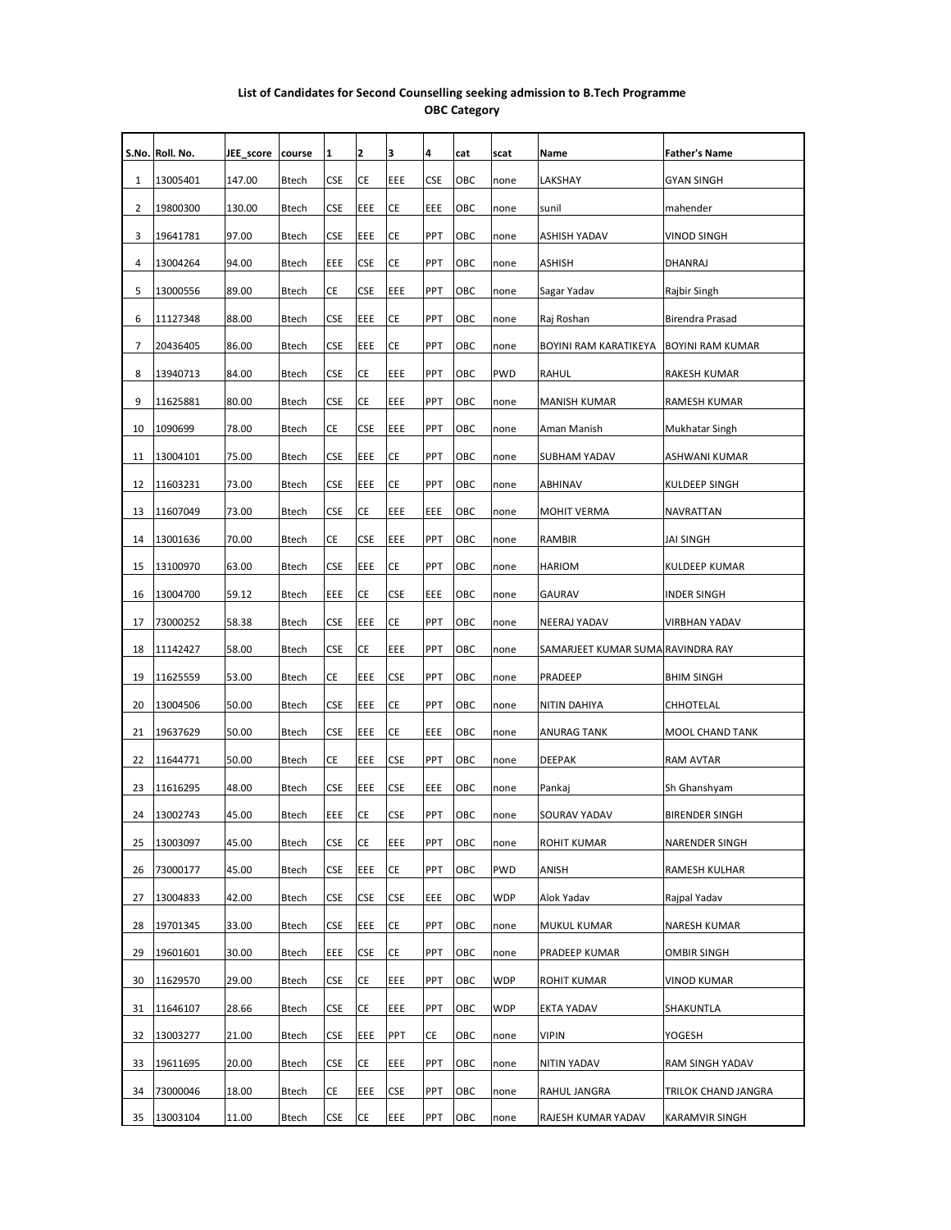#### List of Candidates for Second Counselling seeking admission to B.Tech Programme OBC Category

|    | S.No. Roll. No. | JEE_score | course       | 1          | 2          | 3          | 4   | cat | scat       | Name                              | <b>Father's Name</b>    |
|----|-----------------|-----------|--------------|------------|------------|------------|-----|-----|------------|-----------------------------------|-------------------------|
| 1  | 13005401        | 147.00    | <b>Btech</b> | CSE        | СE         | EEE        | CSE | ОВС | none       | LAKSHAY                           | GYAN SINGH              |
| 2  | 19800300        | 130.00    | Btech        | CSE        | EEE        | CE         | EEE | ОВС | none       | sunil                             | mahender                |
| 3  | 19641781        | 97.00     | Btech        | CSE        | EEE        | СE         | PPT | ОВС | none       | <b>ASHISH YADAV</b>               | VINOD SINGH             |
| 4  | 13004264        | 94.00     | Btech        | EEE        | CSE        | CE         | PPT | ОВС | none       | ASHISH                            | DHANRAJ                 |
| 5  | 13000556        | 89.00     | Btech        | СE         | CSE        | EEE        | PPT | ОВС | none       | Sagar Yadav                       | Rajbir Singh            |
| 6  | 11127348        | 88.00     | Btech        | CSE        | EEE        | СE         | PPT | ОВС | none       | Raj Roshan                        | Birendra Prasad         |
| 7  | 20436405        | 86.00     | Btech        | CSE        | EEE        | СE         | PPT | овс | none       | BOYINI RAM KARATIKEYA             | <b>BOYINI RAM KUMAR</b> |
| 8  | 13940713        | 84.00     | Btech        | <b>CSE</b> | CE         | EEE        | PPT | ОВС | <b>PWD</b> | RAHUL                             | RAKESH KUMAR            |
| 9  | 11625881        | 80.00     | Btech        | CSE        | СE         | EEE        | PPT | ОВС | none       | <b>MANISH KUMAR</b>               | RAMESH KUMAR            |
| 10 | 1090699         | 78.00     | Btech        | CE         | <b>CSE</b> | EEE        | PPT | ОВС | none       | Aman Manish                       | Mukhatar Singh          |
| 11 | 13004101        | 75.00     | Btech        | <b>CSE</b> | EEE        | СE         | PPT | ОВС | none       | <b>SUBHAM YADAV</b>               | ASHWANI KUMAR           |
| 12 | 11603231        | 73.00     | Btech        | <b>CSE</b> | EEE        | СE         | PPT | ОВС | none       | ABHINAV                           | KULDEEP SINGH           |
| 13 | 11607049        | 73.00     | Btech        | CSE        | СE         | EEE        | EEE | ОВС | none       | <b>MOHIT VERMA</b>                | NAVRATTAN               |
| 14 | 13001636        | 70.00     | Btech        | CE         | <b>CSE</b> | EEE        | PPT | ОВС | none       | RAMBIR                            | JAI SINGH               |
| 15 | 13100970        | 63.00     | Btech        | CSE        | EEE        | CE         | PPT | ОВС | none       | <b>HARIOM</b>                     | KULDEEP KUMAR           |
| 16 | 13004700        | 59.12     | Btech        | EEE        | СE         | CSE        | EEE | ОВС | none       | <b>GAURAV</b>                     | <b>INDER SINGH</b>      |
| 17 | 73000252        | 58.38     | Btech        | CSE        | EEE        | СE         | PPT | ОВС | none       | NEERAJ YADAV                      | VIRBHAN YADAV           |
| 18 | 11142427        | 58.00     | Btech        | CSE        | СE         | EEE        | PPT | ОВС | none       | SAMARJEET KUMAR SUMA RAVINDRA RAY |                         |
| 19 | 11625559        | 53.00     | Btech        | CE         | EEE        | CSE        | PPT | ОВС | none       | PRADEEP                           | <b>BHIM SINGH</b>       |
| 20 | 13004506        | 50.00     | Btech        | <b>CSE</b> | EEE        | СE         | PPT | ОВС | none       | NITIN DAHIYA                      | CHHOTELAL               |
| 21 | 19637629        | 50.00     | Btech        | CSE        | EEE        | СE         | EEE | ОВС | none       | ANURAG TANK                       | <b>MOOL CHAND TANK</b>  |
| 22 | 11644771        | 50.00     | <b>Btech</b> | CE         | EEE        | CSE        | PPT | ОВС | none       | <b>DEEPAK</b>                     | RAM AVTAR               |
| 23 | 11616295        | 48.00     | <b>Btech</b> | <b>CSE</b> | EEE        | CSE        | EEE | ОВС | none       | Pankaj                            | Sh Ghanshyam            |
| 24 | 13002743        | 45.00     | Btech        | EEE        | СE         | CSE        | PPT | OBC | none       | SOURAV YADAV                      | <b>BIRENDER SINGH</b>   |
| 25 | 13003097        | 45.00     | Btech        | CSE        | СE         | EEE        | PPT | ОВС | none       | <b>ROHIT KUMAR</b>                | NARENDER SINGH          |
| 26 | 73000177        | 45.00     | Btech        | CSE        | EEE        | CE         | PPT | ОВС | <b>PWD</b> | ANISH                             | RAMESH KULHAR           |
| 27 | 13004833        | 42.00     | Btech        | CSE        | <b>CSE</b> | <b>CSE</b> | EEE | ОВС | <b>WDP</b> | Alok Yadav                        | Rajpal Yadav            |
| 28 | 19701345        | 33.00     | Btech        | CSE        | EEE        | CE         | PPT | ОВС | none       | MUKUL KUMAR                       | NARESH KUMAR            |
| 29 | 19601601        | 30.00     | Btech        | EEE        | <b>CSE</b> | CE         | PPT | ОВС | none       | PRADEEP KUMAR                     | OMBIR SINGH             |
| 30 | 11629570        | 29.00     | Btech        | CSE        | СE         | EEE        | PPT | ОВС | <b>WDP</b> | <b>ROHIT KUMAR</b>                | VINOD KUMAR             |
| 31 | 11646107        | 28.66     | Btech        | CSE        | СE         | EEE        | PPT | ОВС | <b>WDP</b> | <b>EKTA YADAV</b>                 |                         |
| 32 | 13003277        | 21.00     | Btech        | CSE        | EEE        | PPT        | СE  | ОВС | none       | <b>VIPIN</b>                      | SHAKUNTLA<br>YOGESH     |
|    |                 |           |              |            |            |            |     |     |            |                                   |                         |
| 33 | 19611695        | 20.00     | Btech        | CSE        | СE         | EEE        | PPT | ОВС | none       | NITIN YADAV                       | RAM SINGH YADAV         |
| 34 | 73000046        | 18.00     | Btech        | CE         | EEE        | CSE        | PPT | ОВС | none       | RAHUL JANGRA                      | TRILOK CHAND JANGRA     |
| 35 | 13003104        | 11.00     | Btech        | <b>CSE</b> | CE         | EEE        | PPT | OBC | none       | RAJESH KUMAR YADAV                | KARAMVIR SINGH          |